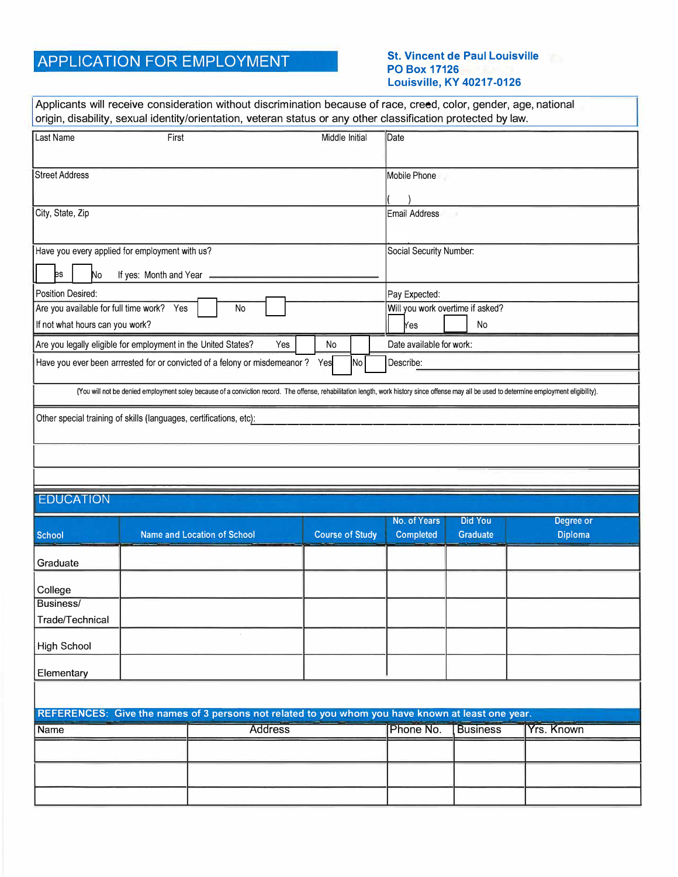## APPLICATION FOR EMPLOYMENT **St. Vincent de Paul Louisville**

## **PO Box 17126 Louisville, KY 40217-0126**

|                                                                                                                                                                                               |                                                 | Applicants will receive consideration without discrimination because of race, creed, color, gender, age, national<br>origin, disability, sexual identity/orientation, veteran status or any other classification protected by law. |  |                        |  |           |                                             |                   |                |
|-----------------------------------------------------------------------------------------------------------------------------------------------------------------------------------------------|-------------------------------------------------|------------------------------------------------------------------------------------------------------------------------------------------------------------------------------------------------------------------------------------|--|------------------------|--|-----------|---------------------------------------------|-------------------|----------------|
| Last Name<br>First<br>Middle Initial                                                                                                                                                          |                                                 |                                                                                                                                                                                                                                    |  |                        |  |           | Date                                        |                   |                |
| <b>Street Address</b>                                                                                                                                                                         |                                                 |                                                                                                                                                                                                                                    |  |                        |  |           | Mobile Phone                                |                   |                |
| City, State, Zip                                                                                                                                                                              |                                                 |                                                                                                                                                                                                                                    |  |                        |  |           | Email Address                               |                   |                |
|                                                                                                                                                                                               |                                                 |                                                                                                                                                                                                                                    |  |                        |  |           |                                             |                   |                |
| Have you every applied for employment with us?                                                                                                                                                |                                                 |                                                                                                                                                                                                                                    |  |                        |  |           | Social Security Number:                     |                   |                |
| þs<br>No<br>If yes: Month and Year -                                                                                                                                                          |                                                 |                                                                                                                                                                                                                                    |  |                        |  |           |                                             |                   |                |
| <b>Position Desired:</b>                                                                                                                                                                      |                                                 |                                                                                                                                                                                                                                    |  |                        |  |           | Pay Expected:                               |                   |                |
|                                                                                                                                                                                               | Are you available for full time work? Yes<br>No |                                                                                                                                                                                                                                    |  |                        |  |           | Will you work overtime if asked?            |                   |                |
| If not what hours can you work?                                                                                                                                                               |                                                 |                                                                                                                                                                                                                                    |  |                        |  |           | No<br>Yes                                   |                   |                |
| Are you legally eligible for employment in the United States?<br>Yes<br>No                                                                                                                    |                                                 |                                                                                                                                                                                                                                    |  |                        |  |           | Date available for work:                    |                   |                |
| Have you ever been arrrested for or convicted of a felony or misdemeanor? Yes<br>No                                                                                                           |                                                 |                                                                                                                                                                                                                                    |  |                        |  |           | Describe:                                   |                   |                |
| (You will not be denied employment soley because of a conviction record. The offense, rehabilitation length, work history since offense may all be used to determine employment eligibility). |                                                 |                                                                                                                                                                                                                                    |  |                        |  |           |                                             |                   |                |
| Other special training of skills (languages, certifications, etc):                                                                                                                            |                                                 |                                                                                                                                                                                                                                    |  |                        |  |           |                                             |                   |                |
|                                                                                                                                                                                               |                                                 |                                                                                                                                                                                                                                    |  |                        |  |           |                                             |                   |                |
|                                                                                                                                                                                               |                                                 |                                                                                                                                                                                                                                    |  |                        |  |           |                                             |                   |                |
|                                                                                                                                                                                               |                                                 |                                                                                                                                                                                                                                    |  |                        |  |           |                                             |                   |                |
| <b>EDUCATION</b>                                                                                                                                                                              |                                                 |                                                                                                                                                                                                                                    |  |                        |  |           |                                             |                   |                |
|                                                                                                                                                                                               |                                                 |                                                                                                                                                                                                                                    |  |                        |  |           | No. of Years<br><b>Did You</b><br>Degree or |                   |                |
| <b>School</b>                                                                                                                                                                                 |                                                 | <b>Name and Location of School</b>                                                                                                                                                                                                 |  | <b>Course of Study</b> |  |           | <b>Completed</b>                            | <b>Graduate</b>   | <b>Diploma</b> |
| Graduate                                                                                                                                                                                      |                                                 |                                                                                                                                                                                                                                    |  |                        |  |           |                                             |                   |                |
| College                                                                                                                                                                                       |                                                 |                                                                                                                                                                                                                                    |  |                        |  |           |                                             |                   |                |
| Business/<br>Trade/Technical                                                                                                                                                                  |                                                 |                                                                                                                                                                                                                                    |  |                        |  |           |                                             |                   |                |
| <b>High School</b>                                                                                                                                                                            |                                                 |                                                                                                                                                                                                                                    |  |                        |  |           |                                             |                   |                |
| Elementary                                                                                                                                                                                    |                                                 |                                                                                                                                                                                                                                    |  |                        |  |           |                                             |                   |                |
|                                                                                                                                                                                               |                                                 |                                                                                                                                                                                                                                    |  |                        |  |           |                                             |                   |                |
|                                                                                                                                                                                               |                                                 | REFERENCES: Give the names of 3 persons not related to you whom you have known at least one year.                                                                                                                                  |  |                        |  |           |                                             |                   |                |
| Name                                                                                                                                                                                          | <b>Address</b>                                  |                                                                                                                                                                                                                                    |  |                        |  | Phone No. | <b>Business</b>                             | <b>Yrs. Known</b> |                |
|                                                                                                                                                                                               |                                                 |                                                                                                                                                                                                                                    |  |                        |  |           |                                             |                   |                |
|                                                                                                                                                                                               |                                                 |                                                                                                                                                                                                                                    |  |                        |  |           |                                             |                   |                |
|                                                                                                                                                                                               |                                                 |                                                                                                                                                                                                                                    |  |                        |  |           |                                             |                   |                |